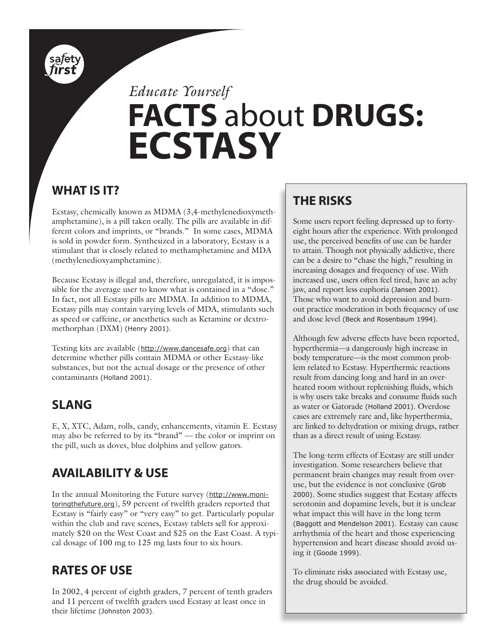

# *Educate Yourself* **FACTS** about **DRUGS: ECSTASY**

### **WHAT IS IT?**

Ecstasy, chemically known as MDMA (3,4-methylenedioxymethamphetamine), is a pill taken orally. The pills are available in different colors and imprints, or "brands." In some cases, MDMA is sold in powder form. Synthesized in a laboratory, Ecstasy is a stimulant that is closely related to methamphetamine and MDA (methylenedioxyamphetamine).

Because Ecstasy is illegal and, therefore, unregulated, it is impossible for the average user to know what is contained in a "dose." In fact, not all Ecstasy pills are MDMA. In addition to MDMA, Ecstasy pills may contain varying levels of MDA, stimulants such as speed or caffeine, or anesthetics such as Ketamine or dextromethorphan (DXM) (Henry 2001).

Testing kits are available (http://www.dancesafe.org) that can determine whether pills contain MDMA or other Ecstasy-like substances, but not the actual dosage or the presence of other contaminants (Holland 2001).

# **SLANG**

E, X, XTC, Adam, rolls, candy, enhancements, vitamin E. Ecstasy may also be referred to by its "brand" — the color or imprint on the pill, such as doves, blue dolphins and yellow gators.

# **AVAILABILITY & USE**

In the annual Monitoring the Future survey (http://www.monitoringthefuture.org), 59 percent of twelfth graders reported that Ecstasy is "fairly easy" or "very easy" to get. Particularly popular within the club and rave scenes, Ecstasy tablets sell for approximately \$20 on the West Coast and \$25 on the East Coast. A typical dosage of 100 mg to 125 mg lasts four to six hours.

# **RATES OF USE**

In 2002, 4 percent of eighth graders, 7 percent of tenth graders and 11 percent of twelfth graders used Ecstasy at least once in their lifetime (Johnston 2003).

# **THE RISKS**

Some users report feeling depressed up to fortyeight hours after the experience. With prolonged use, the perceived benefits of use can be harder to attain. Though not physically addictive, there can be a desire to "chase the high," resulting in increasing dosages and frequency of use. With increased use, users often feel tired, have an achy jaw, and report less euphoria (Jansen 2001). Those who want to avoid depression and burnout practice moderation in both frequency of use and dose level (Beck and Rosenbaum 1994).

Although few adverse effects have been reported, hyperthermia—a dangerously high increase in body temperature—is the most common problem related to Ecstasy. Hyperthermic reactions result from dancing long and hard in an overheated room without replenishing fluids, which is why users take breaks and consume fluids such as water or Gatorade (Holland 2001). Overdose cases are extremely rare and, like hyperthermia, are linked to dehydration or mixing drugs, rather than as a direct result of using Ecstasy.

The long-term effects of Ecstasy are still under investigation. Some researchers believe that permanent brain changes may result from overuse, but the evidence is not conclusive (Grob 2000). Some studies suggest that Ecstasy affects serotonin and dopamine levels, but it is unclear what impact this will have in the long term (Baggott and Mendelson 2001). Ecstasy can cause arrhythmia of the heart and those experiencing hypertension and heart disease should avoid using it (Goode 1999).

To eliminate risks associated with Ecstasy use, the drug should be avoided.